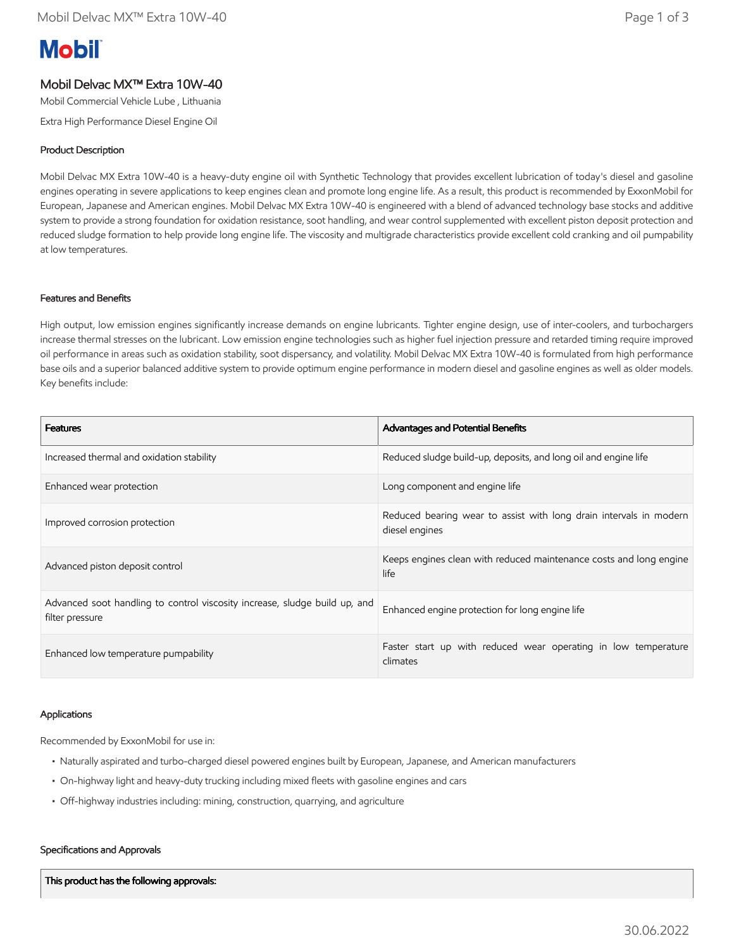# **Mobil**

## Mobil Delvac MX™ Extra 10W-40

Mobil Commercial Vehicle Lube , Lithuania

Extra High Performance Diesel Engine Oil

### Product Description

Mobil Delvac MX Extra 10W-40 is a heavy-duty engine oil with Synthetic Technology that provides excellent lubrication of today's diesel and gasoline engines operating in severe applications to keep engines clean and promote long engine life. As a result, this product is recommended by ExxonMobil for European, Japanese and American engines. Mobil Delvac MX Extra 10W-40 is engineered with a blend of advanced technology base stocks and additive system to provide a strong foundation for oxidation resistance, soot handling, and wear control supplemented with excellent piston deposit protection and reduced sludge formation to help provide long engine life. The viscosity and multigrade characteristics provide excellent cold cranking and oil pumpability at low temperatures.

#### Features and Benefits

High output, low emission engines significantly increase demands on engine lubricants. Tighter engine design, use of inter-coolers, and turbochargers increase thermal stresses on the lubricant. Low emission engine technologies such as higher fuel injection pressure and retarded timing require improved oil performance in areas such as oxidation stability, soot dispersancy, and volatility. Mobil Delvac MX Extra 10W-40 is formulated from high performance base oils and a superior balanced additive system to provide optimum engine performance in modern diesel and gasoline engines as well as older models. Key benefits include:

| <b>Features</b>                                                                               | <b>Advantages and Potential Benefits</b>                                             |
|-----------------------------------------------------------------------------------------------|--------------------------------------------------------------------------------------|
| Increased thermal and oxidation stability                                                     | Reduced sludge build-up, deposits, and long oil and engine life                      |
| Enhanced wear protection                                                                      | Long component and engine life                                                       |
| Improved corrosion protection                                                                 | Reduced bearing wear to assist with long drain intervals in modern<br>diesel engines |
| Advanced piston deposit control                                                               | Keeps engines clean with reduced maintenance costs and long engine<br>life           |
| Advanced soot handling to control viscosity increase, sludge build up, and<br>filter pressure | Enhanced engine protection for long engine life                                      |
| Enhanced low temperature pumpability                                                          | Faster start up with reduced wear operating in low temperature<br>climates           |

#### Applications

Recommended by ExxonMobil for use in:

- Naturally aspirated and turbo-charged diesel powered engines built by European, Japanese, and American manufacturers
- On-highway light and heavy-duty trucking including mixed fleets with gasoline engines and cars
- Off-highway industries including: mining, construction, quarrying, and agriculture

#### Specifications and Approvals

This product has the following approvals: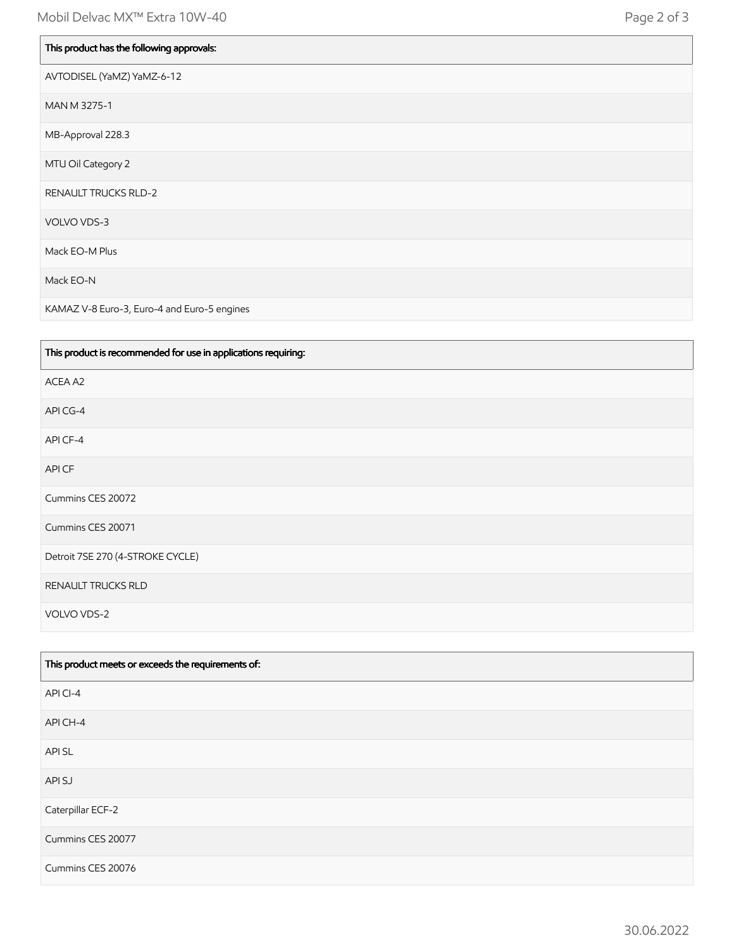| This product has the following approvals: |
|-------------------------------------------|
| AVTODISEL (YaMZ) YaMZ-6-12                |
| MAN M 3275-1                              |
| MB-Approval 228.3                         |
| MTU Oil Category 2                        |
| <b>RENAULT TRUCKS RLD-2</b>               |
| VOLVO VDS-3                               |
| Mack EO-M Plus                            |
| Mack EO-N                                 |

KAMAZ V-8 Euro-3, Euro-4 and Euro-5 engines

| This product is recommended for use in applications requiring: |
|----------------------------------------------------------------|
| ACEA A2                                                        |
| API CG-4                                                       |
| API CF-4                                                       |
| API CF                                                         |
| Cummins CES 20072                                              |
| Cummins CES 20071                                              |
| Detroit 7SE 270 (4-STROKE CYCLE)                               |
| RENAULT TRUCKS RLD                                             |
| VOLVO VDS-2                                                    |

| This product meets or exceeds the requirements of: |
|----------------------------------------------------|
| API CI-4                                           |
| API CH-4                                           |
| API SL                                             |
| API SJ                                             |
| Caterpillar ECF-2                                  |
| Cummins CES 20077                                  |
| Cummins CES 20076                                  |